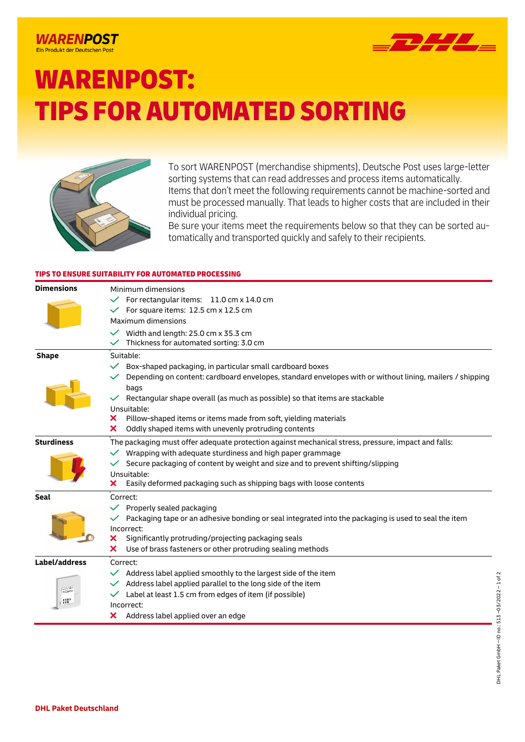## **WARENPOST** Ein Produkt der Deutschen Post



# WARENPOST: TIPS FOR AUTOMATED SORTING



To sort WARENPOST (merchandise shipments), Deutsche Post uses large-letter sorting systems that can read addresses and process items automatically. Items that don't meet the following requirements cannot be machine-sorted and must be processed manually. That leads to higher costs that are included in their individual pricing.

Be sure your items meet the requirements below so that they can be sorted automatically and transported quickly and safely to their recipients.

## TIPS TO ENSURE SUITABILITY FOR AUTOMATED PROCESSING

| <b>Dimensions</b>       | Minimum dimensions<br>For rectangular items: 11.0 cm x 14.0 cm<br>For square items: 12.5 cm x 12.5 cm<br>Maximum dimensions<br>Width and length: 25.0 cm x 35.3 cm<br>Thickness for automated sorting: 3.0 cm                                                                                                                                                                                                                 |
|-------------------------|-------------------------------------------------------------------------------------------------------------------------------------------------------------------------------------------------------------------------------------------------------------------------------------------------------------------------------------------------------------------------------------------------------------------------------|
| <b>Shape</b>            | Suitable:<br>Box-shaped packaging, in particular small cardboard boxes<br>Depending on content: cardboard envelopes, standard envelopes with or without lining, mailers / shipping<br>bags<br>Rectangular shape overall (as much as possible) so that items are stackable<br>Unsuitable:<br>Pillow-shaped items or items made from soft, yielding materials<br>x<br>Oddly shaped items with unevenly protruding contents<br>x |
| <b>Sturdiness</b>       | The packaging must offer adequate protection against mechanical stress, pressure, impact and falls:<br>Wrapping with adequate sturdiness and high paper grammage<br>Secure packaging of content by weight and size and to prevent shifting/slipping<br>Unsuitable:<br>Easily deformed packaging such as shipping bags with loose contents<br>×                                                                                |
| <b>Seal</b>             | Correct:<br>Properly sealed packaging<br>Packaging tape or an adhesive bonding or seal integrated into the packaging is used to seal the item<br>Incorrect:<br>Significantly protruding/projecting packaging seals<br>×<br>Use of brass fasteners or other protruding sealing methods<br>×                                                                                                                                    |
| Label/address<br>三<br>體 | Correct:<br>Address label applied smoothly to the largest side of the item<br>Address label applied parallel to the long side of the item<br>Label at least 1.5 cm from edges of item (if possible)<br>Incorrect:<br>Address label applied over an edge<br>×                                                                                                                                                                  |